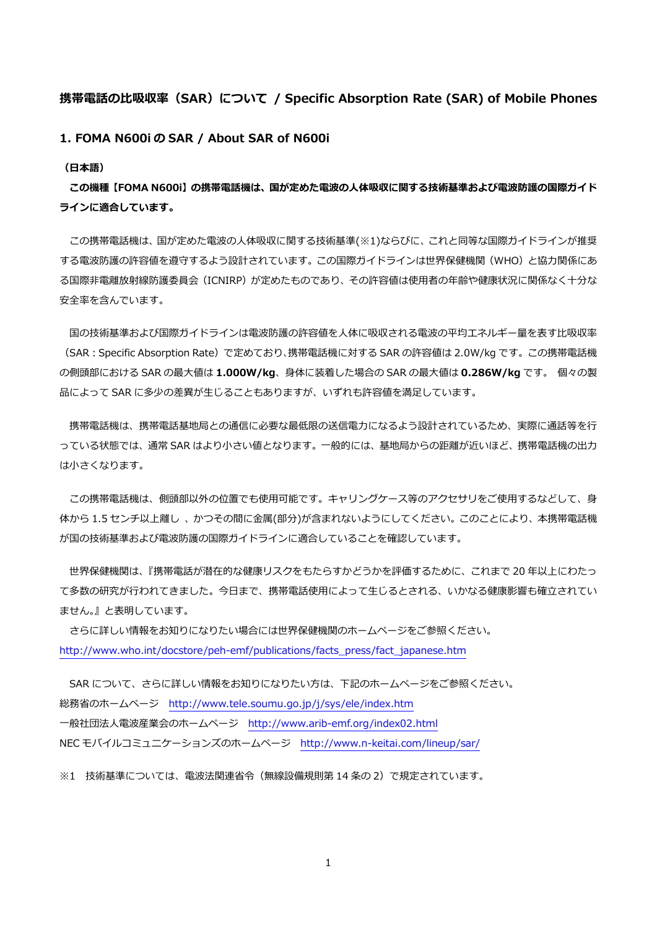## **携帯電話の⽐吸収率(SAR)について / Specific Absorption Rate (SAR) of Mobile Phones**

## **1. FOMA N600i の SAR / About SAR of N600i**

#### **(⽇本語)**

**この機種【FOMA N600i】の携帯電話機は、国が定めた電波の⼈体吸収に関する技術基準および電波防護の国際ガイド ラインに適合しています。** 

この携帯電話機は、国が定めた電波の人体吸収に関する技術基準(※1)ならびに、これと同等な国際ガイドラインが推奨 する電波防護の許容値を遵守するよう設計されています。この国際ガイドラインは世界保健機関(WHO)と協⼒関係にあ る国際非電離放射線防護委員会(ICNIRP)が定めたものであり、その許容値は使用者の年齢や健康状況に関係なく十分な 安全率を含んでいます。

国の技術基準および国際ガイドラインは電波防護の許容値を人体に吸収される電波の平均エネルギー量を表す比吸収率 (SAR:Specific Absorption Rate)で定めており、携帯電話機に対する SAR の許容値は 2.0W/kg です。この携帯電話機 の側頭部における SAR の最⼤値は **1.000W/kg**、⾝体に装着した場合の SAR の最⼤値は **0.286W/kg** です。 個々の製 品によって SAR に多少の差異が生じることもありますが、いずれも許容値を満足しています。

携帯電話機は、携帯電話基地局との通信に必要な最低限の送信電力になるよう設計されているため、実際に通話等を行 っている状態では、通常 SAR はより小さい値となります。一般的には、基地局からの距離が近いほど、携帯電話機の出力 は⼩さくなります。

この携帯電話機は、側頭部以外の位置でも使用可能です。キャリングケース等のアクセサリをご使用するなどして、身 体から 1.5 センチ以上離し、かつその間に金属(部分)が含まれないようにしてください。このことにより、本携帯電話機 が国の技術基準および電波防護の国際ガイドラインに適合していることを確認しています。

 世界保健機関は、『携帯電話が潜在的な健康リスクをもたらすかどうかを評価するために、これまで 20 年以上にわたっ て多数の研究が行われてきました。今日まで、携帯電話使用によって生じるとされる、いかなる健康影響も確立されてい ません。』と表明しています。

 さらに詳しい情報をお知りになりたい場合には世界保健機関のホームページをご参照ください。 http://www.who.int/docstore/peh-emf/publications/facts\_press/fact\_japanese.htm

SAR について、さらに詳しい情報をお知りになりたい方は、下記のホームページをご参照ください。 総務省のホームページ http://www.tele.soumu.go.jp/j/sys/ele/index.htm ⼀般社団法⼈電波産業会のホームページ http://www.arib-emf.org/index02.html NEC モバイルコミュニケーションズのホームページ http://www.n-keitai.com/lineup/sar/

※1 技術基準については、電波法関連省令(無線設備規則第 14 条の 2)で規定されています。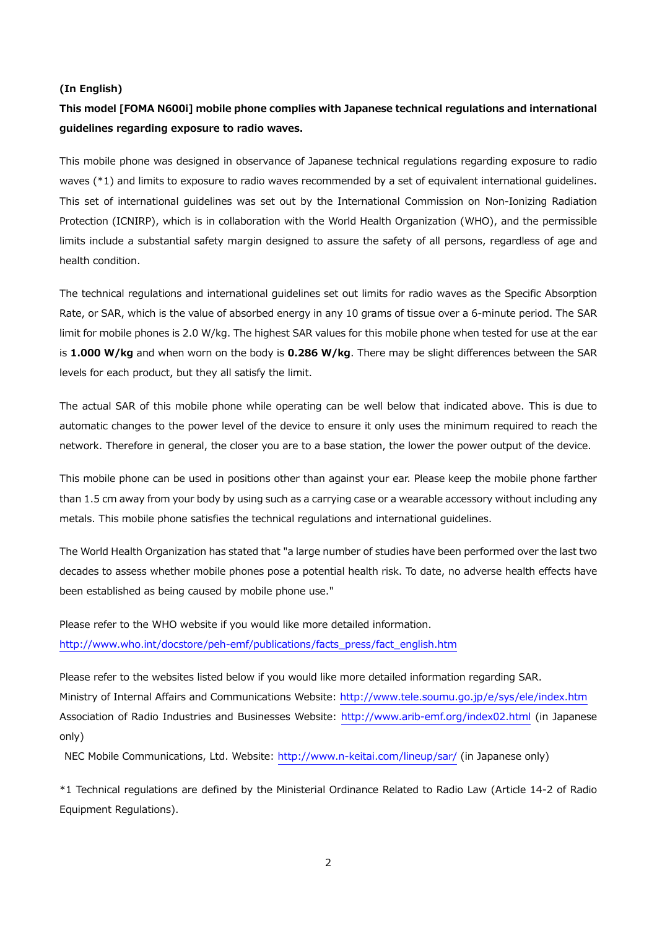### **(In English)**

# **This model [FOMA N600i] mobile phone complies with Japanese technical regulations and international guidelines regarding exposure to radio waves.**

This mobile phone was designed in observance of Japanese technical regulations regarding exposure to radio waves (\*1) and limits to exposure to radio waves recommended by a set of equivalent international guidelines. This set of international guidelines was set out by the International Commission on Non-Ionizing Radiation Protection (ICNIRP), which is in collaboration with the World Health Organization (WHO), and the permissible limits include a substantial safety margin designed to assure the safety of all persons, regardless of age and health condition.

The technical regulations and international guidelines set out limits for radio waves as the Specific Absorption Rate, or SAR, which is the value of absorbed energy in any 10 grams of tissue over a 6-minute period. The SAR limit for mobile phones is 2.0 W/kg. The highest SAR values for this mobile phone when tested for use at the ear is **1.000 W/kg** and when worn on the body is **0.286 W/kg**. There may be slight differences between the SAR levels for each product, but they all satisfy the limit.

The actual SAR of this mobile phone while operating can be well below that indicated above. This is due to automatic changes to the power level of the device to ensure it only uses the minimum required to reach the network. Therefore in general, the closer you are to a base station, the lower the power output of the device.

This mobile phone can be used in positions other than against your ear. Please keep the mobile phone farther than 1.5 cm away from your body by using such as a carrying case or a wearable accessory without including any metals. This mobile phone satisfies the technical regulations and international guidelines.

The World Health Organization has stated that "a large number of studies have been performed over the last two decades to assess whether mobile phones pose a potential health risk. To date, no adverse health effects have been established as being caused by mobile phone use."

Please refer to the WHO website if you would like more detailed information. http://www.who.int/docstore/peh-emf/publications/facts\_press/fact\_english.htm

Please refer to the websites listed below if you would like more detailed information regarding SAR. Ministry of Internal Affairs and Communications Website: http://www.tele.soumu.go.jp/e/sys/ele/index.htm Association of Radio Industries and Businesses Website: http://www.arib-emf.org/index02.html (in Japanese only)

NEC Mobile Communications, Ltd. Website: http://www.n-keitai.com/lineup/sar/ (in Japanese only)

\*1 Technical regulations are defined by the Ministerial Ordinance Related to Radio Law (Article 14-2 of Radio Equipment Regulations).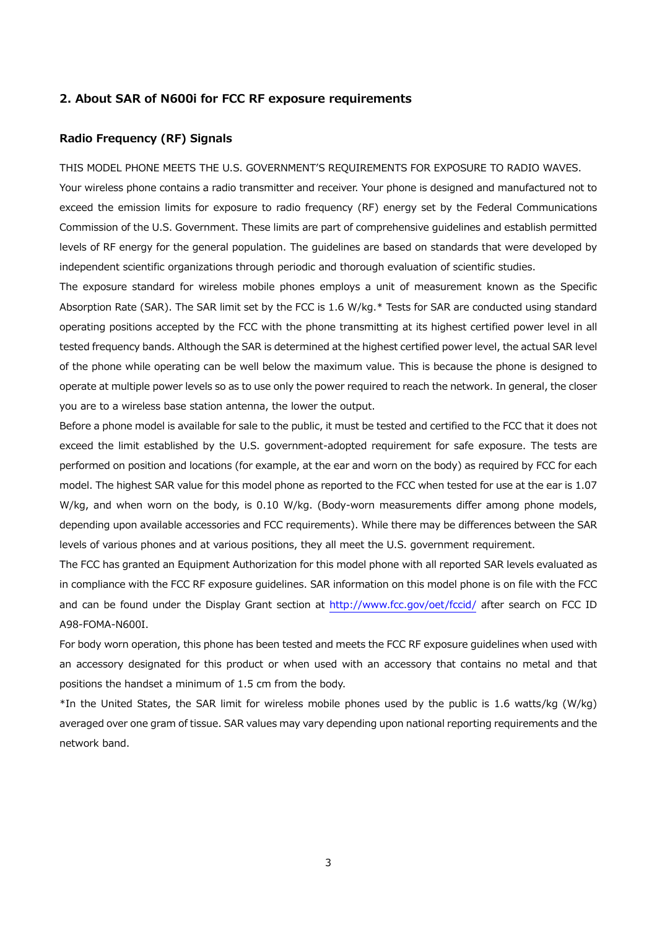### **2. About SAR of N600i for FCC RF exposure requirements**

## **Radio Frequency (RF) Signals**

THIS MODEL PHONE MEETS THE U.S. GOVERNMENT'S REQUIREMENTS FOR EXPOSURE TO RADIO WAVES.

Your wireless phone contains a radio transmitter and receiver. Your phone is designed and manufactured not to exceed the emission limits for exposure to radio frequency (RF) energy set by the Federal Communications Commission of the U.S. Government. These limits are part of comprehensive guidelines and establish permitted levels of RF energy for the general population. The guidelines are based on standards that were developed by independent scientific organizations through periodic and thorough evaluation of scientific studies.

The exposure standard for wireless mobile phones employs a unit of measurement known as the Specific Absorption Rate (SAR). The SAR limit set by the FCC is 1.6 W/kg.\* Tests for SAR are conducted using standard operating positions accepted by the FCC with the phone transmitting at its highest certified power level in all tested frequency bands. Although the SAR is determined at the highest certified power level, the actual SAR level of the phone while operating can be well below the maximum value. This is because the phone is designed to operate at multiple power levels so as to use only the power required to reach the network. In general, the closer you are to a wireless base station antenna, the lower the output.

Before a phone model is available for sale to the public, it must be tested and certified to the FCC that it does not exceed the limit established by the U.S. government-adopted requirement for safe exposure. The tests are performed on position and locations (for example, at the ear and worn on the body) as required by FCC for each model. The highest SAR value for this model phone as reported to the FCC when tested for use at the ear is 1.07 W/kg, and when worn on the body, is 0.10 W/kg. (Body-worn measurements differ among phone models, depending upon available accessories and FCC requirements). While there may be differences between the SAR levels of various phones and at various positions, they all meet the U.S. government requirement.

The FCC has granted an Equipment Authorization for this model phone with all reported SAR levels evaluated as in compliance with the FCC RF exposure guidelines. SAR information on this model phone is on file with the FCC and can be found under the Display Grant section at http://www.fcc.gov/oet/fccid/ after search on FCC ID A98-FOMA-N600I.

For body worn operation, this phone has been tested and meets the FCC RF exposure guidelines when used with an accessory designated for this product or when used with an accessory that contains no metal and that positions the handset a minimum of 1.5 cm from the body.

\*In the United States, the SAR limit for wireless mobile phones used by the public is 1.6 watts/kg (W/kg) averaged over one gram of tissue. SAR values may vary depending upon national reporting requirements and the network band.